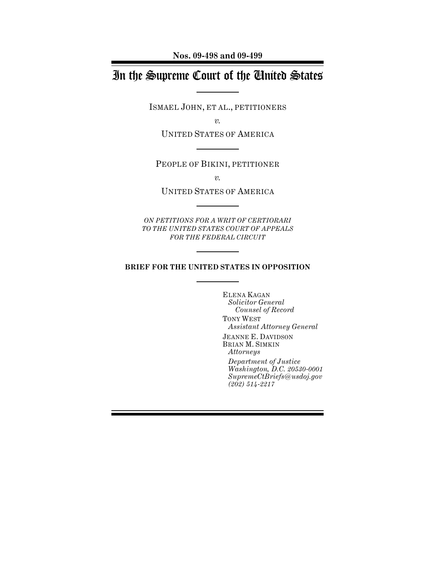**Nos. 09-498 and 09-499**

# In the Supreme Court of the United States

ISMAEL JOHN, ET AL., PETITIONERS

*v.*

UNITED STATES OF AMERICA

PEOPLE OF BIKINI, PETITIONER

*v.*

UNITED STATES OF AMERICA

*ON PETITIONS FOR A WRIT OF CERTIORARI TO THE UNITED STATES COURT OF APPEALS FOR THE FEDERAL CIRCUIT*

### **BRIEF FOR THE UNITED STATES IN OPPOSITION**

ELENA KAGAN *Solicitor General Counsel of Record*

TONY WEST *Assistant Attorney General*

JEANNE E. DAVIDSON BRIAN M. SIMKIN *Attorneys* 

*Department of Justice Washington, D.C. 20530-0001 SupremeCtBriefs@usdoj.gov (202) 514-2217*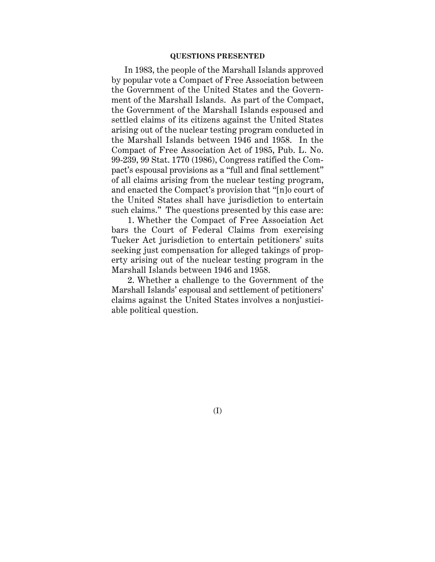#### **QUESTIONS PRESENTED**

In 1983, the people of the Marshall Islands approved by popular vote a Compact of Free Association between the Government of the United States and the Government of the Marshall Islands. As part of the Compact, the Government of the Marshall Islands espoused and settled claims of its citizens against the United States arising out of the nuclear testing program conducted in the Marshall Islands between 1946 and 1958. In the Compact of Free Association Act of 1985, Pub. L. No. 99-239, 99 Stat. 1770 (1986), Congress ratified the Compact's espousal provisions as a "full and final settlement" of all claims arising from the nuclear testing program, and enacted the Compact's provision that "[n]o court of the United States shall have jurisdiction to entertain such claims." The questions presented by this case are:

1. Whether the Compact of Free Association Act bars the Court of Federal Claims from exercising Tucker Act jurisdiction to entertain petitioners' suits seeking just compensation for alleged takings of property arising out of the nuclear testing program in the Marshall Islands between 1946 and 1958.

2. Whether a challenge to the Government of the Marshall Islands' espousal and settlement of petitioners' claims against the United States involves a nonjusticiable political question.

(I)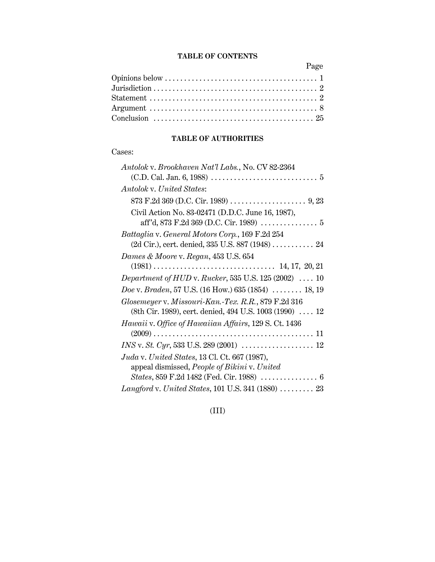## **TABLE OF CONTENTS**

Page

# **TABLE OF AUTHORITIES**

## Cases:

| Antolok v. Brookhaven Nat'l Labs., No. CV 82-2364                                       |
|-----------------------------------------------------------------------------------------|
|                                                                                         |
| Antolok v. United States:                                                               |
|                                                                                         |
| Civil Action No. 83-02471 (D.D.C. June 16, 1987),                                       |
| Battaglia v. General Motors Corp., 169 F.2d 254                                         |
| (2d Cir.), cert. denied, 335 U.S. 887 (1948)  24                                        |
| Dames & Moore v. Regan, 453 U.S. 654                                                    |
|                                                                                         |
| Department of HUD v. Rucker, 535 U.S. $125(2002)$ 10                                    |
| <i>Doe v. Braden,</i> 57 U.S. (16 How.) 635 (1854) $\ldots$ 18, 19                      |
| Glosemeyer v. Missouri-Kan.-Tex. R.R., 879 F.2d 316                                     |
| (8th Cir. 1989), cert. denied, 494 U.S. 1003 (1990)  12                                 |
| Hawaii v. Office of Hawaiian Affairs, 129 S. Ct. 1436                                   |
|                                                                                         |
|                                                                                         |
| Juda v. United States, 13 Cl. Ct. 667 (1987),                                           |
| appeal dismissed, People of Bikini v. United                                            |
| <i>States</i> , $859$ F.2d 1482 (Fed. Cir. 1988) $\ldots \ldots \ldots \ldots \ldots 6$ |
| $Langford$ v. United States, 101 U.S. 341 (1880)  23                                    |

(III)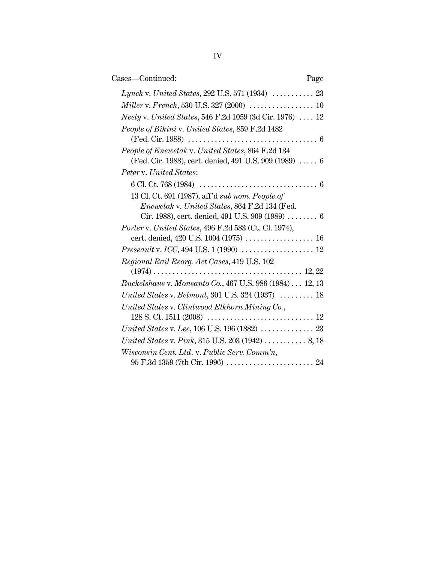| Cases-Continued:                                                | Page |
|-----------------------------------------------------------------|------|
|                                                                 |      |
|                                                                 |      |
| <i>Neely v. United States,</i> 546 F.2d 1059 (3d Cir. 1976)  12 |      |
| People of Bikini v. United States, 859 F.2d 1482                |      |
|                                                                 |      |
| People of Enewetak v. United States, 864 F.2d 134               |      |
| (Fed. Cir. 1988), cert. denied, 491 U.S. 909 (1989)  6          |      |
| Peter v. United States:                                         |      |
|                                                                 |      |
| 13 Cl. Ct. 691 (1987), aff'd sub nom. People of                 |      |
| <i>Enewetak v. United States, 864 F.2d 134 (Fed.</i>            |      |

| 13 Cl. Ct. 691 (1987), aff'd sub nom. People of                                                          |
|----------------------------------------------------------------------------------------------------------|
| Enewetak v. United States, 864 F.2d 134 (Fed.                                                            |
| Cir. 1988), cert. denied, 491 U.S. 909 (1989) $\ldots \ldots$ 6                                          |
| Porter v. United States, 496 F.2d 583 (Ct. Cl. 1974),                                                    |
| cert. denied, 420 U.S. 1004 (1975)  16                                                                   |
| <i>Preseault</i> v. <i>ICC</i> , 494 U.S. 1 (1990) $\,\,\ldots\ldots\ldots\ldots\ldots\ldots\ldots\,$ 12 |
| Regional Rail Reorg. Act Cases, 419 U.S. 102                                                             |
|                                                                                                          |
| Ruckelshaus v. Monsanto Co., 467 U.S. 986 (1984) 12, 13                                                  |
| United States v. Belmont, 301 U.S. 324 $(1937)$ 18                                                       |
| United States v. Clintwood Elkhorn Mining Co.,                                                           |
|                                                                                                          |
|                                                                                                          |
|                                                                                                          |
| Wisconsin Cent. Ltd. v. Public Serv. Comm'n,                                                             |
|                                                                                                          |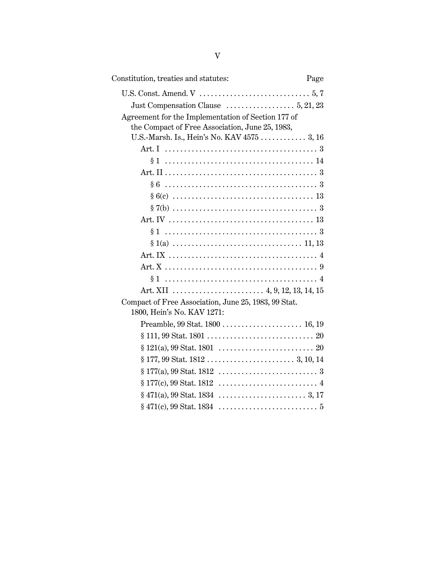| Constitution, treaties and statutes:                                                             | Page |
|--------------------------------------------------------------------------------------------------|------|
|                                                                                                  |      |
|                                                                                                  |      |
| Agreement for the Implementation of Section 177 of                                               |      |
| the Compact of Free Association, June 25, 1983,                                                  |      |
| U.S.-Marsh. Is., Hein's No. KAV 4575  3, 16                                                      |      |
|                                                                                                  |      |
|                                                                                                  |      |
|                                                                                                  |      |
|                                                                                                  |      |
|                                                                                                  |      |
|                                                                                                  |      |
|                                                                                                  |      |
|                                                                                                  |      |
|                                                                                                  |      |
|                                                                                                  |      |
|                                                                                                  |      |
|                                                                                                  |      |
|                                                                                                  |      |
| Compact of Free Association, June 25, 1983, 99 Stat.                                             |      |
| 1800, Hein's No. KAV 1271:                                                                       |      |
| Preamble, 99 Stat. 1800  16, 19                                                                  |      |
|                                                                                                  |      |
|                                                                                                  |      |
|                                                                                                  |      |
|                                                                                                  |      |
| $§ 177(c), 99 \text{ Stat. } 1812 \dots \dots \dots \dots \dots \dots \dots \dots \dots \dots 4$ |      |
|                                                                                                  |      |
|                                                                                                  |      |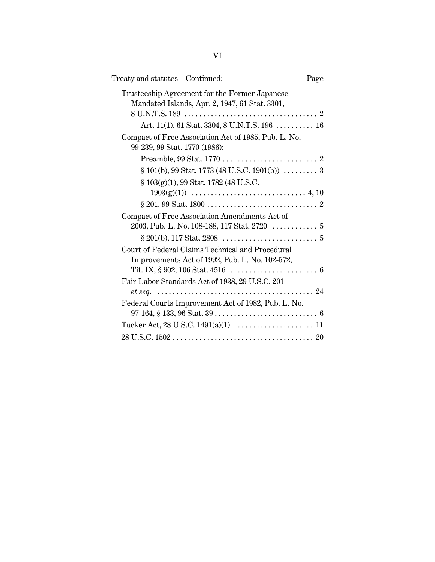| Treaty and statutes—Continued:                                                                                      | Page |
|---------------------------------------------------------------------------------------------------------------------|------|
| Trusteeship Agreement for the Former Japanese<br>Mandated Islands, Apr. 2, 1947, 61 Stat. 3301,                     |      |
| Art. 11(1), 61 Stat. 3304, 8 U.N.T.S. 196  16                                                                       |      |
| Compact of Free Association Act of 1985, Pub. L. No.<br>99-239, 99 Stat. 1770 (1986):                               |      |
|                                                                                                                     |      |
| $\S 101(b)$ , 99 Stat. 1773 (48 U.S.C. 1901(b))  3                                                                  |      |
| § 103(g)(1), 99 Stat. 1782 (48 U.S.C.                                                                               |      |
|                                                                                                                     |      |
| Compact of Free Association Amendments Act of<br>2003, Pub. L. No. 108-188, 117 Stat. 2720 $\ldots \ldots \ldots 5$ |      |
|                                                                                                                     |      |
| Court of Federal Claims Technical and Procedural<br>Improvements Act of 1992, Pub. L. No. 102-572,                  |      |
| Fair Labor Standards Act of 1938, 29 U.S.C. 201                                                                     |      |
| Federal Courts Improvement Act of 1982, Pub. L. No.                                                                 |      |
|                                                                                                                     |      |
|                                                                                                                     |      |
|                                                                                                                     |      |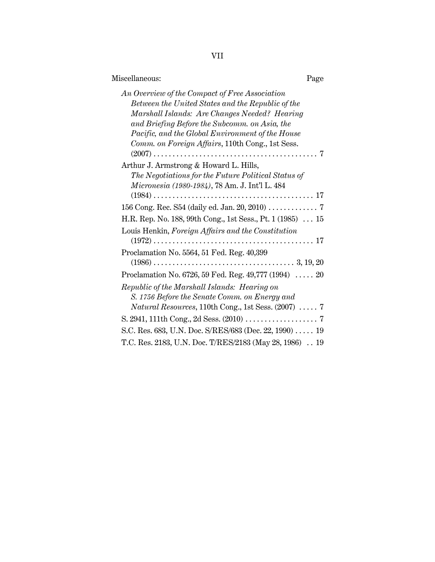|--|

| Miscellaneous:                                                                                                                                                                                                                                                                                                | Page |
|---------------------------------------------------------------------------------------------------------------------------------------------------------------------------------------------------------------------------------------------------------------------------------------------------------------|------|
| An Overview of the Compact of Free Association<br>Between the United States and the Republic of the<br>Marshall Islands: Are Changes Needed? Hearing<br>and Briefing Before the Subcomm. on Asia, the<br>Pacific, and the Global Environment of the House<br>Comm. on Foreign Affairs, 110th Cong., 1st Sess. |      |
| Arthur J. Armstrong & Howard L. Hills,<br>The Negotiations for the Future Political Status of<br>Micronesia (1980-1984), 78 Am. J. Int'l L. 484                                                                                                                                                               |      |
| 156 Cong. Rec. S54 (daily ed. Jan. 20, 2010) 7                                                                                                                                                                                                                                                                |      |
| H.R. Rep. No. 188, 99th Cong., 1st Sess., Pt. 1 (1985)  15<br>Louis Henkin, Foreign Affairs and the Constitution                                                                                                                                                                                              |      |
| Proclamation No. 5564, 51 Fed. Reg. 40,399                                                                                                                                                                                                                                                                    |      |
| Proclamation No. 6726, 59 Fed. Reg. 49,777 (1994)  20                                                                                                                                                                                                                                                         |      |
| Republic of the Marshall Islands: Hearing on<br>S. 1756 Before the Senate Comm. on Energy and<br><i>Natural Resources</i> , 110th Cong., 1st Sess. $(2007)$ 7                                                                                                                                                 |      |
|                                                                                                                                                                                                                                                                                                               |      |
| S.C. Res. 683, U.N. Doc. S/RES/683 (Dec. 22, 1990)  19                                                                                                                                                                                                                                                        |      |
| T.C. Res. 2183, U.N. Doc. T/RES/2183 (May 28, 1986)  19                                                                                                                                                                                                                                                       |      |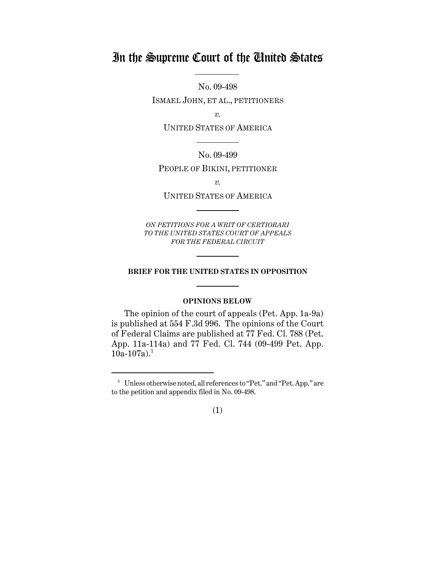# In the Supreme Court of the United States

No. 09-498

ISMAEL JOHN, ET AL., PETITIONERS

*v.*

UNITED STATES OF AMERICA

No. 09-499

PEOPLE OF BIKINI, PETITIONER

*v.*

UNITED STATES OF AMERICA

*ON PETITIONS FOR A WRIT OF CERTIORARI TO THE UNITED STATES COURT OF APPEALS FOR THE FEDERAL CIRCUIT*

#### **BRIEF FOR THE UNITED STATES IN OPPOSITION**

### **OPINIONS BELOW**

The opinion of the court of appeals (Pet. App. 1a-9a) is published at 554 F.3d 996. The opinions of the Court of Federal Claims are published at 77 Fed. Cl. 788 (Pet. App. 11a-114a) and 77 Fed. Cl. 744 (09-499 Pet. App.  $10a-107a$ .

<sup>&</sup>lt;sup>1</sup> Unless otherwise noted, all references to "Pet." and "Pet. App." are to the petition and appendix filed in No. 09-498.

<sup>(1)</sup>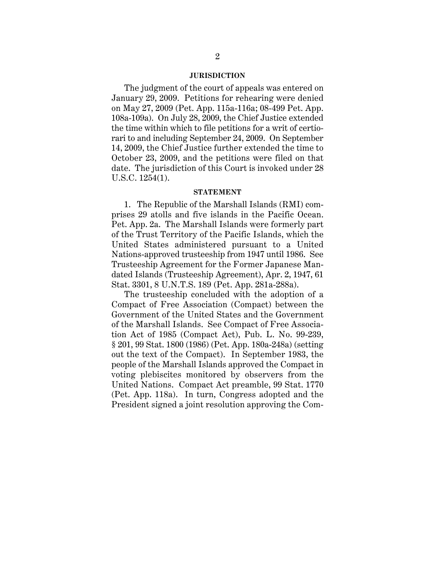#### **JURISDICTION**

The judgment of the court of appeals was entered on January 29, 2009. Petitions for rehearing were denied on May 27, 2009 (Pet. App. 115a-116a; 08-499 Pet. App. 108a-109a). On July 28, 2009, the Chief Justice extended the time within which to file petitions for a writ of certiorari to and including September 24, 2009. On September 14, 2009, the Chief Justice further extended the time to October 23, 2009, and the petitions were filed on that date. The jurisdiction of this Court is invoked under 28 U.S.C. 1254(1).

#### **STATEMENT**

1. The Republic of the Marshall Islands (RMI) comprises 29 atolls and five islands in the Pacific Ocean. Pet. App. 2a. The Marshall Islands were formerly part of the Trust Territory of the Pacific Islands, which the United States administered pursuant to a United Nations-approved trusteeship from 1947 until 1986. See Trusteeship Agreement for the Former Japanese Mandated Islands (Trusteeship Agreement), Apr. 2, 1947, 61 Stat. 3301, 8 U.N.T.S. 189 (Pet. App. 281a-288a).

The trusteeship concluded with the adoption of a Compact of Free Association (Compact) between the Government of the United States and the Government of the Marshall Islands. See Compact of Free Association Act of 1985 (Compact Act), Pub. L. No. 99-239, § 201, 99 Stat. 1800 (1986) (Pet. App. 180a-248a) (setting out the text of the Compact). In September 1983, the people of the Marshall Islands approved the Compact in voting plebiscites monitored by observers from the United Nations. Compact Act preamble, 99 Stat. 1770 (Pet. App. 118a). In turn, Congress adopted and the President signed a joint resolution approving the Com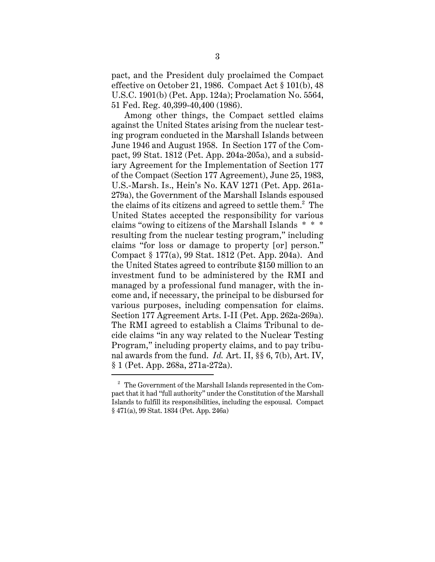pact, and the President duly proclaimed the Compact effective on October 21, 1986. Compact Act § 101(b), 48 U.S.C. 1901(b) (Pet. App. 124a); Proclamation No. 5564, 51 Fed. Reg. 40,399-40,400 (1986).

Among other things, the Compact settled claims against the United States arising from the nuclear testing program conducted in the Marshall Islands between June 1946 and August 1958. In Section 177 of the Compact, 99 Stat. 1812 (Pet. App. 204a-205a), and a subsidiary Agreement for the Implementation of Section 177 of the Compact (Section 177 Agreement), June 25, 1983, U.S.-Marsh. Is., Hein's No. KAV 1271 (Pet. App. 261a-279a), the Government of the Marshall Islands espoused the claims of its citizens and agreed to settle them. $^{2}$  The United States accepted the responsibility for various claims "owing to citizens of the Marshall Islands \* \* \* resulting from the nuclear testing program," including claims "for loss or damage to property [or] person." Compact § 177(a), 99 Stat. 1812 (Pet. App. 204a). And the United States agreed to contribute \$150 million to an investment fund to be administered by the RMI and managed by a professional fund manager, with the income and, if necessary, the principal to be disbursed for various purposes, including compensation for claims. Section 177 Agreement Arts. I-II (Pet. App. 262a-269a). The RMI agreed to establish a Claims Tribunal to decide claims "in any way related to the Nuclear Testing Program," including property claims, and to pay tribunal awards from the fund. *Id.* Art. II, §§ 6, 7(b), Art. IV, § 1 (Pet. App. 268a, 271a-272a).

<sup>2</sup> The Government of the Marshall Islands represented in the Compact that it had "full authority" under the Constitution of the Marshall Islands to fulfill its responsibilities, including the espousal. Compact § 471(a), 99 Stat. 1834 (Pet. App. 246a)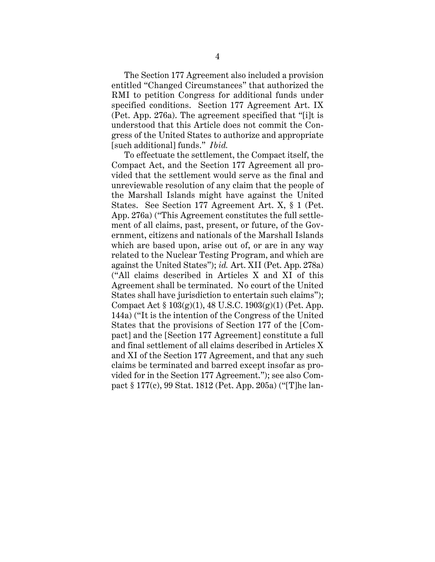The Section 177 Agreement also included a provision entitled "Changed Circumstances" that authorized the RMI to petition Congress for additional funds under specified conditions. Section 177 Agreement Art. IX (Pet. App. 276a). The agreement specified that "[i]t is understood that this Article does not commit the Congress of the United States to authorize and appropriate [such additional] funds." *Ibid.*

To effectuate the settlement, the Compact itself, the Compact Act, and the Section 177 Agreement all provided that the settlement would serve as the final and unreviewable resolution of any claim that the people of the Marshall Islands might have against the United States. See Section 177 Agreement Art. X, § 1 (Pet. App. 276a) ("This Agreement constitutes the full settlement of all claims, past, present, or future, of the Government, citizens and nationals of the Marshall Islands which are based upon, arise out of, or are in any way related to the Nuclear Testing Program, and which are against the United States"); *id.* Art. XII (Pet. App. 278a) ("All claims described in Articles X and XI of this Agreement shall be terminated. No court of the United States shall have jurisdiction to entertain such claims"); Compact Act § 103(g)(1), 48 U.S.C. 1903(g)(1) (Pet. App. 144a) ("It is the intention of the Congress of the United States that the provisions of Section 177 of the [Compact] and the [Section 177 Agreement] constitute a full and final settlement of all claims described in Articles X and XI of the Section 177 Agreement, and that any such claims be terminated and barred except insofar as provided for in the Section 177 Agreement."); see also Compact § 177(c), 99 Stat. 1812 (Pet. App. 205a) ("[T]he lan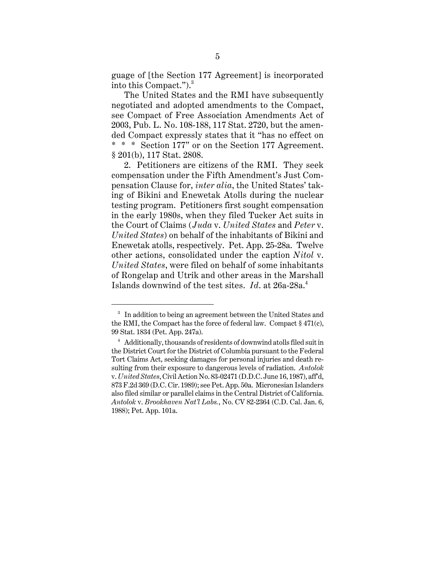guage of [the Section 177 Agreement] is incorporated into this Compact.").<sup>3</sup>

The United States and the RMI have subsequently negotiated and adopted amendments to the Compact, see Compact of Free Association Amendments Act of 2003, Pub. L. No. 108-188, 117 Stat. 2720, but the amended Compact expressly states that it "has no effect on \* \* \* Section 177" or on the Section 177 Agreement. § 201(b), 117 Stat. 2808.

2. Petitioners are citizens of the RMI. They seek compensation under the Fifth Amendment's Just Compensation Clause for, *inter alia*, the United States' taking of Bikini and Enewetak Atolls during the nuclear testing program. Petitioners first sought compensation in the early 1980s, when they filed Tucker Act suits in the Court of Claims (*Juda* v. *United States* and *Peter* v. *United States*) on behalf of the inhabitants of Bikini and Enewetak atolls, respectively. Pet. App. 25-28a. Twelve other actions, consolidated under the caption *Nitol* v. *United States*, were filed on behalf of some inhabitants of Rongelap and Utrik and other areas in the Marshall Islands downwind of the test sites. *Id*. at 26a-28a.<sup>4</sup>

<sup>&</sup>lt;sup>3</sup> In addition to being an agreement between the United States and the RMI, the Compact has the force of federal law. Compact § 471(c), 99 Stat. 1834 (Pet. App. 247a).

<sup>&</sup>lt;sup>4</sup> Additionally, thousands of residents of downwind atolls filed suit in the District Court for the District of Columbia pursuant to the Federal Tort Claims Act, seeking damages for personal injuries and death resulting from their exposure to dangerous levels of radiation. *Antolok* v. *United States*, Civil Action No. 83-02471 (D.D.C. June 16, 1987), aff'd, 873 F.2d 369 (D.C. Cir. 1989); see Pet. App. 50a. Micronesian Islanders also filed similar or parallel claims in the Central District of California. *Antolok* v. *Brookhaven Nat'l Labs.*, No. CV 82-2364 (C.D. Cal. Jan. 6, 1988); Pet. App. 101a.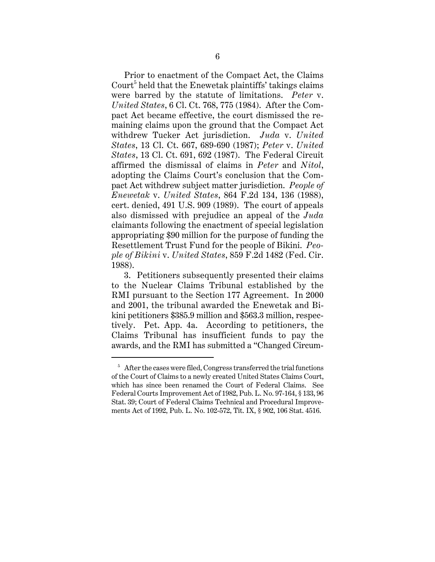Prior to enactment of the Compact Act, the Claims Court<sup>5</sup> held that the Enewetak plaintiffs' takings claims were barred by the statute of limitations. *Peter* v. *United States*, 6 Cl. Ct. 768, 775 (1984). After the Compact Act became effective, the court dismissed the remaining claims upon the ground that the Compact Act withdrew Tucker Act jurisdiction. *Juda* v. *United States*, 13 Cl. Ct. 667, 689-690 (1987); *Peter* v. *United States*, 13 Cl. Ct. 691, 692 (1987). The Federal Circuit affirmed the dismissal of claims in *Peter* and *Nitol*, adopting the Claims Court's conclusion that the Compact Act withdrew subject matter jurisdiction. *People of Enewetak* v. *United States*, 864 F.2d 134, 136 (1988), cert. denied, 491 U.S. 909 (1989). The court of appeals also dismissed with prejudice an appeal of the *Juda* claimants following the enactment of special legislation appropriating \$90 million for the purpose of funding the Resettlement Trust Fund for the people of Bikini. *People of Bikini* v. *United States*, 859 F.2d 1482 (Fed. Cir. 1988).

3. Petitioners subsequently presented their claims to the Nuclear Claims Tribunal established by the RMI pursuant to the Section 177 Agreement. In 2000 and 2001, the tribunal awarded the Enewetak and Bikini petitioners \$385.9 million and \$563.3 million, respectively. Pet. App. 4a. According to petitioners, the Claims Tribunal has insufficient funds to pay the awards, and the RMI has submitted a "Changed Circum-

 $5$  After the cases were filed, Congress transferred the trial functions of the Court of Claims to a newly created United States Claims Court, which has since been renamed the Court of Federal Claims. See Federal Courts Improvement Act of 1982, Pub. L. No. 97-164, § 133, 96 Stat. 39; Court of Federal Claims Technical and Procedural Improvements Act of 1992, Pub. L. No. 102-572, Tit. IX, § 902, 106 Stat. 4516.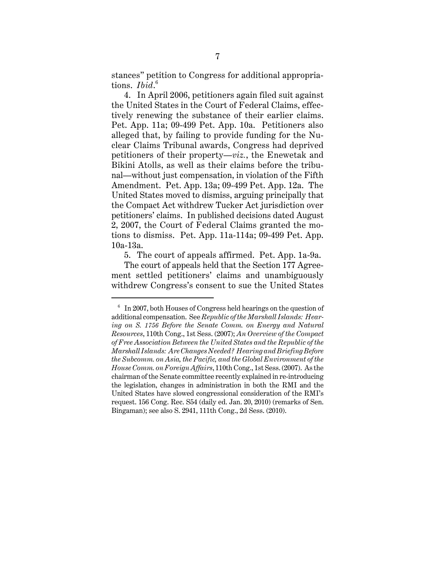stances" petition to Congress for additional appropriations. *Ibid*. 6

4. In April 2006, petitioners again filed suit against the United States in the Court of Federal Claims, effectively renewing the substance of their earlier claims. Pet. App. 11a; 09-499 Pet. App. 10a. Petitioners also alleged that, by failing to provide funding for the Nuclear Claims Tribunal awards, Congress had deprived petitioners of their property—*viz.*, the Enewetak and Bikini Atolls, as well as their claims before the tribunal—without just compensation, in violation of the Fifth Amendment. Pet. App. 13a; 09-499 Pet. App. 12a. The United States moved to dismiss, arguing principally that the Compact Act withdrew Tucker Act jurisdiction over petitioners' claims. In published decisions dated August 2, 2007, the Court of Federal Claims granted the motions to dismiss. Pet. App. 11a-114a; 09-499 Pet. App. 10a-13a.

5. The court of appeals affirmed. Pet. App. 1a-9a.

The court of appeals held that the Section 177 Agreement settled petitioners' claims and unambiguously withdrew Congress's consent to sue the United States

 $6\;$  In 2007, both Houses of Congress held hearings on the question of additional compensation. See *Republic of the Marshall Islands: Hearing on S. 1756 Before the Senate Comm. on Energy and Natural Resources*, 110th Cong., 1st Sess. (2007); *An Overview of the Compact of Free Association Between the United States and the Republic of the Marshall Islands: Are Changes Needed? Hearing and Briefing Before the Subcomm. on Asia, the Pacific, and the Global Environment of the House Comm. on Foreign Affairs*, 110th Cong., 1st Sess. (2007). As the chairman of the Senate committee recently explained in re-introducing the legislation, changes in administration in both the RMI and the United States have slowed congressional consideration of the RMI's request. 156 Cong. Rec. S54 (daily ed. Jan. 20, 2010) (remarks of Sen. Bingaman); see also S. 2941, 111th Cong., 2d Sess. (2010).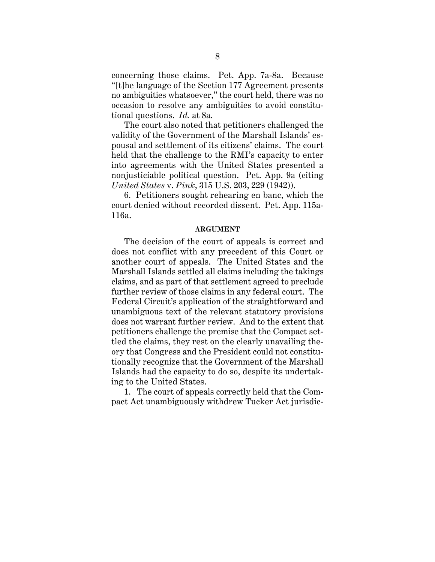concerning those claims. Pet. App. 7a-8a. Because "[t]he language of the Section 177 Agreement presents no ambiguities whatsoever," the court held, there was no occasion to resolve any ambiguities to avoid constitutional questions. *Id.* at 8a.

The court also noted that petitioners challenged the validity of the Government of the Marshall Islands' espousal and settlement of its citizens' claims. The court held that the challenge to the RMI's capacity to enter into agreements with the United States presented a nonjusticiable political question. Pet. App. 9a (citing *United States* v. *Pink*, 315 U.S. 203, 229 (1942)).

6. Petitioners sought rehearing en banc, which the court denied without recorded dissent. Pet. App. 115a-116a.

#### **ARGUMENT**

The decision of the court of appeals is correct and does not conflict with any precedent of this Court or another court of appeals. The United States and the Marshall Islands settled all claims including the takings claims, and as part of that settlement agreed to preclude further review of those claims in any federal court. The Federal Circuit's application of the straightforward and unambiguous text of the relevant statutory provisions does not warrant further review. And to the extent that petitioners challenge the premise that the Compact settled the claims, they rest on the clearly unavailing theory that Congress and the President could not constitutionally recognize that the Government of the Marshall Islands had the capacity to do so, despite its undertaking to the United States.

1. The court of appeals correctly held that the Compact Act unambiguously withdrew Tucker Act jurisdic-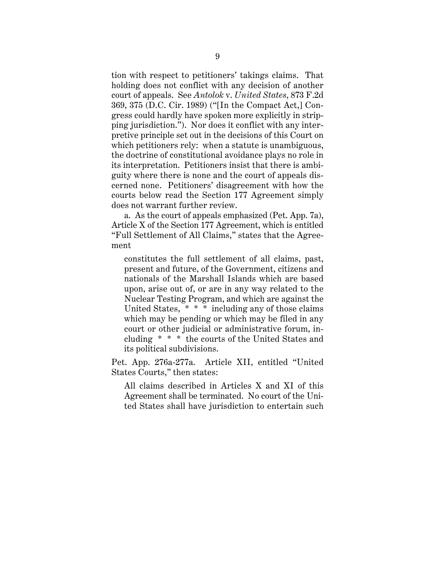tion with respect to petitioners' takings claims. That holding does not conflict with any decision of another court of appeals. See *Antolok* v. *United States*, 873 F.2d 369, 375 (D.C. Cir. 1989) ("[In the Compact Act,] Congress could hardly have spoken more explicitly in stripping jurisdiction."). Nor does it conflict with any interpretive principle set out in the decisions of this Court on which petitioners rely: when a statute is unambiguous, the doctrine of constitutional avoidance plays no role in its interpretation. Petitioners insist that there is ambiguity where there is none and the court of appeals discerned none. Petitioners' disagreement with how the courts below read the Section 177 Agreement simply does not warrant further review.

a. As the court of appeals emphasized (Pet. App. 7a), Article X of the Section 177 Agreement, which is entitled "Full Settlement of All Claims," states that the Agreement

constitutes the full settlement of all claims, past, present and future, of the Government, citizens and nationals of the Marshall Islands which are based upon, arise out of, or are in any way related to the Nuclear Testing Program, and which are against the United States, \* \* \* including any of those claims which may be pending or which may be filed in any court or other judicial or administrative forum, including \* \* \* the courts of the United States and its political subdivisions.

Pet. App. 276a-277a. Article XII, entitled "United States Courts," then states:

All claims described in Articles X and XI of this Agreement shall be terminated. No court of the United States shall have jurisdiction to entertain such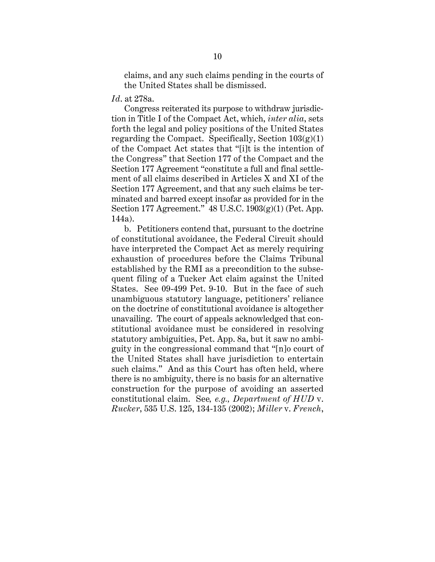claims, and any such claims pending in the courts of the United States shall be dismissed.

*Id*. at 278a.

Congress reiterated its purpose to withdraw jurisdiction in Title I of the Compact Act, which, *inter alia*, sets forth the legal and policy positions of the United States regarding the Compact. Specifically, Section  $103(g)(1)$ of the Compact Act states that "[i]t is the intention of the Congress" that Section 177 of the Compact and the Section 177 Agreement "constitute a full and final settlement of all claims described in Articles X and XI of the Section 177 Agreement, and that any such claims be terminated and barred except insofar as provided for in the Section 177 Agreement." 48 U.S.C. 1903(g)(1) (Pet. App. 144a).

b. Petitioners contend that, pursuant to the doctrine of constitutional avoidance, the Federal Circuit should have interpreted the Compact Act as merely requiring exhaustion of procedures before the Claims Tribunal established by the RMI as a precondition to the subsequent filing of a Tucker Act claim against the United States. See 09-499 Pet. 9-10. But in the face of such unambiguous statutory language, petitioners' reliance on the doctrine of constitutional avoidance is altogether unavailing. The court of appeals acknowledged that constitutional avoidance must be considered in resolving statutory ambiguities, Pet. App. 8a, but it saw no ambiguity in the congressional command that "[n]o court of the United States shall have jurisdiction to entertain such claims." And as this Court has often held, where there is no ambiguity, there is no basis for an alternative construction for the purpose of avoiding an asserted constitutional claim. See*, e.g., Department of HUD* v. *Rucker*, 535 U.S. 125, 134-135 (2002); *Miller* v. *French*,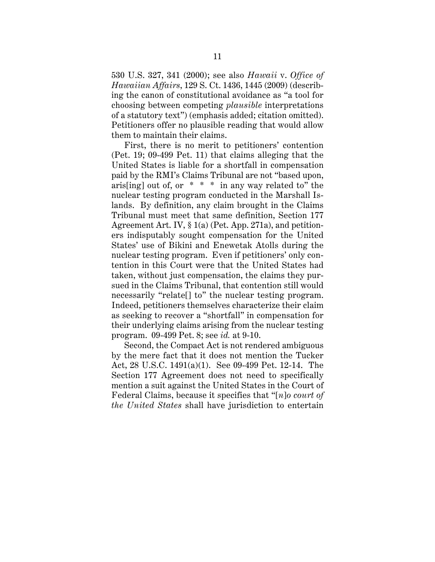530 U.S. 327, 341 (2000); see also *Hawaii* v. *Office of Hawaiian Affairs*, 129 S. Ct. 1436, 1445 (2009) (describing the canon of constitutional avoidance as "a tool for choosing between competing *plausible* interpretations of a statutory text") (emphasis added; citation omitted). Petitioners offer no plausible reading that would allow them to maintain their claims.

First, there is no merit to petitioners' contention (Pet. 19; 09-499 Pet. 11) that claims alleging that the United States is liable for a shortfall in compensation paid by the RMI's Claims Tribunal are not "based upon, aris[ing] out of, or  $* * *$  in any way related to" the nuclear testing program conducted in the Marshall Islands. By definition, any claim brought in the Claims Tribunal must meet that same definition, Section 177 Agreement Art. IV, § 1(a) (Pet. App. 271a), and petitioners indisputably sought compensation for the United States' use of Bikini and Enewetak Atolls during the nuclear testing program. Even if petitioners' only contention in this Court were that the United States had taken, without just compensation, the claims they pursued in the Claims Tribunal, that contention still would necessarily "relate[] to" the nuclear testing program. Indeed, petitioners themselves characterize their claim as seeking to recover a "shortfall" in compensation for their underlying claims arising from the nuclear testing program. 09-499 Pet. 8; see *id.* at 9-10.

Second, the Compact Act is not rendered ambiguous by the mere fact that it does not mention the Tucker Act, 28 U.S.C. 1491(a)(1). See 09-499 Pet. 12-14. The Section 177 Agreement does not need to specifically mention a suit against the United States in the Court of Federal Claims, because it specifies that "[*n*]*o court of the United States* shall have jurisdiction to entertain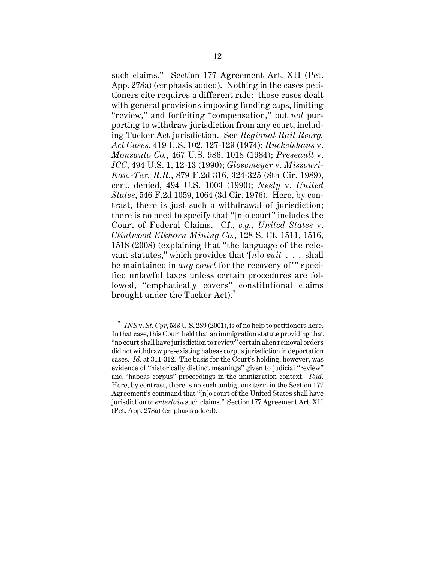such claims." Section 177 Agreement Art. XII (Pet. App. 278a) (emphasis added). Nothing in the cases petitioners cite requires a different rule: those cases dealt with general provisions imposing funding caps, limiting "review," and forfeiting "compensation," but *not* purporting to withdraw jurisdiction from any court, including Tucker Act jurisdiction. See *Regional Rail Reorg. Act Cases*, 419 U.S. 102, 127-129 (1974); *Ruckelshaus* v. *Monsanto Co.*, 467 U.S. 986, 1018 (1984); *Preseault* v. *ICC*, 494 U.S. 1, 12-13 (1990); *Glosemeyer* v. *Missouri-Kan.-Tex. R.R.*, 879 F.2d 316, 324-325 (8th Cir. 1989), cert. denied, 494 U.S. 1003 (1990); *Neely* v. *United States*, 546 F.2d 1059, 1064 (3d Cir. 1976). Here, by contrast, there is just such a withdrawal of jurisdiction; there is no need to specify that "[n]o court" includes the Court of Federal Claims. Cf., *e.g.*, *United States* v. *Clintwood Elkhorn Mining Co.*, 128 S. Ct. 1511, 1516, 1518 (2008) (explaining that "the language of the relevant statutes," which provides that '[*n*]*o suit* . . . shall be maintained in *any court* for the recovery of'" specified unlawful taxes unless certain procedures are followed, "emphatically covers" constitutional claims brought under the Tucker Act).<sup>7</sup>

<sup>&</sup>lt;sup>7</sup> *INS v. St. Cyr*, 533 U.S. 289 (2001), is of no help to petitioners here. In that case, this Court held that an immigration statute providing that "no court shall have jurisdiction to review" certain alien removal orders did not withdraw pre-existing habeas corpus jurisdiction in deportation cases. *Id*. at 311-312. The basis for the Court's holding, however, was evidence of "historically distinct meanings" given to judicial "review" and "habeas corpus" proceedings in the immigration context. *Ibid*. Here, by contrast, there is no such ambiguous term in the Section 177 Agreement's command that "[n]o court of the United States shall have jurisdiction to *entertain* such claims." Section 177 Agreement Art. XII (Pet. App. 278a) (emphasis added).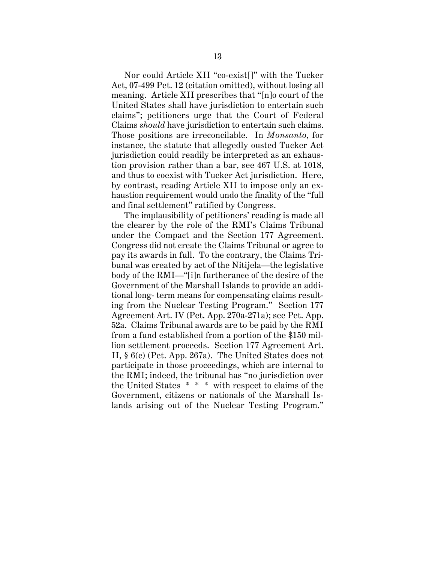Nor could Article XII "co-exist[]" with the Tucker Act, 07-499 Pet. 12 (citation omitted), without losing all meaning. Article XII prescribes that "[n]o court of the United States shall have jurisdiction to entertain such claims"; petitioners urge that the Court of Federal Claims *should* have jurisdiction to entertain such claims. Those positions are irreconcilable. In *Monsanto*, for instance, the statute that allegedly ousted Tucker Act jurisdiction could readily be interpreted as an exhaustion provision rather than a bar, see 467 U.S. at 1018, and thus to coexist with Tucker Act jurisdiction. Here, by contrast, reading Article XII to impose only an exhaustion requirement would undo the finality of the "full and final settlement" ratified by Congress.

The implausibility of petitioners' reading is made all the clearer by the role of the RMI's Claims Tribunal under the Compact and the Section 177 Agreement. Congress did not create the Claims Tribunal or agree to pay its awards in full. To the contrary, the Claims Tribunal was created by act of the Nitijela—the legislative body of the RMI—"[i]n furtherance of the desire of the Government of the Marshall Islands to provide an additional long- term means for compensating claims resulting from the Nuclear Testing Program." Section 177 Agreement Art. IV (Pet. App. 270a-271a); see Pet. App. 52a. Claims Tribunal awards are to be paid by the RMI from a fund established from a portion of the \$150 million settlement proceeds. Section 177 Agreement Art. II, § 6(c) (Pet. App. 267a). The United States does not participate in those proceedings, which are internal to the RMI; indeed, the tribunal has "no jurisdiction over the United States \* \* \* with respect to claims of the Government, citizens or nationals of the Marshall Islands arising out of the Nuclear Testing Program."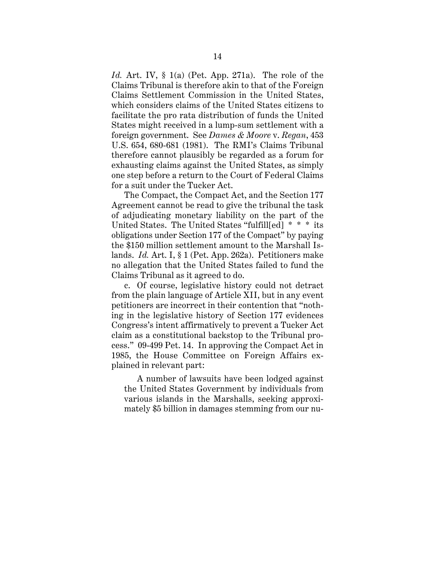*Id.* Art. IV, § 1(a) (Pet. App. 271a). The role of the Claims Tribunal is therefore akin to that of the Foreign Claims Settlement Commission in the United States, which considers claims of the United States citizens to facilitate the pro rata distribution of funds the United States might received in a lump-sum settlement with a foreign government. See *Dames & Moore* v. *Regan*, 453 U.S. 654, 680-681 (1981). The RMI's Claims Tribunal therefore cannot plausibly be regarded as a forum for exhausting claims against the United States, as simply one step before a return to the Court of Federal Claims for a suit under the Tucker Act.

The Compact, the Compact Act, and the Section 177 Agreement cannot be read to give the tribunal the task of adjudicating monetary liability on the part of the United States. The United States "fulfill[ed] \* \* \* its obligations under Section 177 of the Compact" by paying the \$150 million settlement amount to the Marshall Islands. *Id.* Art. I, § 1 (Pet. App. 262a). Petitioners make no allegation that the United States failed to fund the Claims Tribunal as it agreed to do.

c. Of course, legislative history could not detract from the plain language of Article XII, but in any event petitioners are incorrect in their contention that "nothing in the legislative history of Section 177 evidences Congress's intent affirmatively to prevent a Tucker Act claim as a constitutional backstop to the Tribunal process." 09-499 Pet. 14. In approving the Compact Act in 1985, the House Committee on Foreign Affairs explained in relevant part:

A number of lawsuits have been lodged against the United States Government by individuals from various islands in the Marshalls, seeking approximately \$5 billion in damages stemming from our nu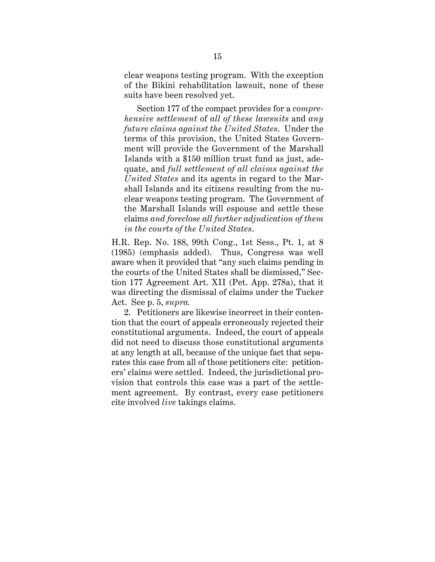clear weapons testing program. With the exception of the Bikini rehabilitation lawsuit, none of these suits have been resolved yet.

Section 177 of the compact provides for a *comprehensive settlement* of *all of these lawsuits* and *any future claims against the United States*. Under the terms of this provision, the United States Government will provide the Government of the Marshall Islands with a \$150 million trust fund as just, adequate, and *full settlement of all claims against the United States* and its agents in regard to the Marshall Islands and its citizens resulting from the nuclear weapons testing program. The Government of the Marshall Islands will espouse and settle these claims *and foreclose all further adjudication of them in the courts of the United States*.

H.R. Rep. No. 188, 99th Cong., 1st Sess., Pt. 1, at 8 (1985) (emphasis added). Thus, Congress was well aware when it provided that "any such claims pending in the courts of the United States shall be dismissed," Section 177 Agreement Art. XII (Pet. App. 278a), that it was directing the dismissal of claims under the Tucker Act. See p. 5, *supra.*

2. Petitioners are likewise incorrect in their contention that the court of appeals erroneously rejected their constitutional arguments. Indeed, the court of appeals did not need to discuss those constitutional arguments at any length at all, because of the unique fact that separates this case from all of those petitioners cite: petitioners' claims were settled. Indeed, the jurisdictional provision that controls this case was a part of the settlement agreement. By contrast, every case petitioners cite involved *live* takings claims.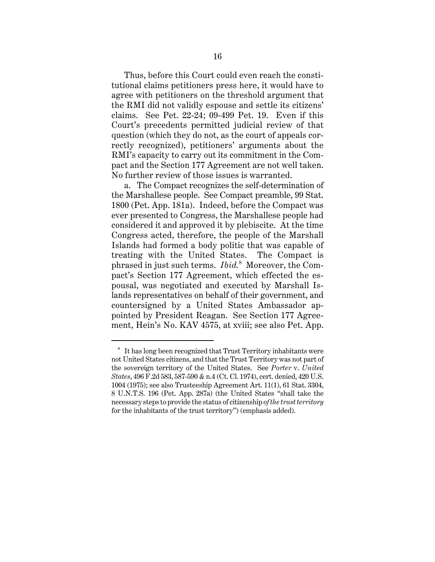Thus, before this Court could even reach the constitutional claims petitioners press here, it would have to agree with petitioners on the threshold argument that the RMI did not validly espouse and settle its citizens' claims. See Pet. 22-24; 09-499 Pet. 19. Even if this Court's precedents permitted judicial review of that question (which they do not, as the court of appeals correctly recognized), petitioners' arguments about the RMI's capacity to carry out its commitment in the Compact and the Section 177 Agreement are not well taken. No further review of those issues is warranted.

a. The Compact recognizes the self-determination of the Marshallese people. See Compact preamble, 99 Stat. 1800 (Pet. App. 181a). Indeed, before the Compact was ever presented to Congress, the Marshallese people had considered it and approved it by plebiscite. At the time Congress acted, therefore, the people of the Marshall Islands had formed a body politic that was capable of treating with the United States. The Compact is phrased in just such terms. *Ibid.*<sup>8</sup> Moreover, the Compact's Section 177 Agreement, which effected the espousal, was negotiated and executed by Marshall Islands representatives on behalf of their government, and countersigned by a United States Ambassador appointed by President Reagan. See Section 177 Agreement, Hein's No. KAV 4575, at xviii; see also Pet. App.

<sup>8</sup> It has long been recognized that Trust Territory inhabitants were not United States citizens, and that the Trust Territory was not part of the sovereign territory of the United States. See *Porter* v. *United States*, 496 F.2d 583, 587-590 & n.4 (Ct. Cl. 1974), cert. denied, 420 U.S. 1004 (1975); see also Trusteeship Agreement Art. 11(1), 61 Stat. 3304, 8 U.N.T.S. 196 (Pet. App. 287a) (the United States "shall take the necessary steps to provide the status of citizenship *of the trust territory* for the inhabitants of the trust territory") (emphasis added).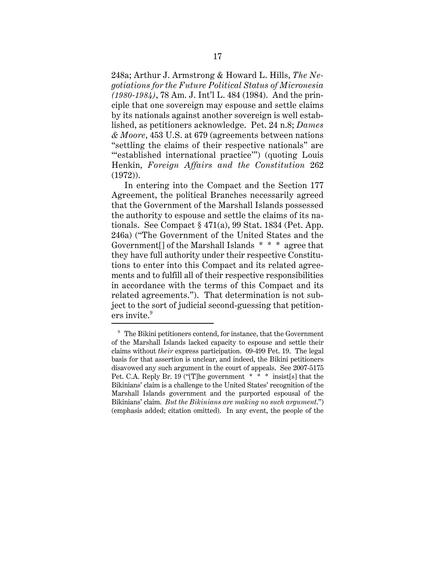248a; Arthur J. Armstrong & Howard L. Hills, *The Negotiations for the Future Political Status of Micronesia (1980-1984)*, 78 Am. J. Int'l L. 484 (1984). And the principle that one sovereign may espouse and settle claims by its nationals against another sovereign is well established, as petitioners acknowledge. Pet. 24 n.8; *Dames & Moore*, 453 U.S. at 679 (agreements between nations "settling the claims of their respective nationals" are ""established international practice"") (quoting Louis Henkin, *Foreign Affairs and the Constitution* 262 (1972)).

In entering into the Compact and the Section 177 Agreement, the political Branches necessarily agreed that the Government of the Marshall Islands possessed the authority to espouse and settle the claims of its nationals. See Compact § 471(a), 99 Stat. 1834 (Pet. App. 246a) ("The Government of the United States and the Government[] of the Marshall Islands \* \* \* agree that they have full authority under their respective Constitutions to enter into this Compact and its related agreements and to fulfill all of their respective responsibilities in accordance with the terms of this Compact and its related agreements."). That determination is not subject to the sort of judicial second-guessing that petitioners invite.<sup>9</sup>

 $9\textdegree$  The Bikini petitioners contend, for instance, that the Government of the Marshall Islands lacked capacity to espouse and settle their claims without *their* express participation. 09-499 Pet. 19. The legal basis for that assertion is unclear, and indeed, the Bikini petitioners disavowed any such argument in the court of appeals. See 2007-5175 Pet. C.A. Reply Br. 19 ("[T]he government \* \* \* insist[s] that the Bikinians' claim is a challenge to the United States' recognition of the Marshall Islands government and the purported espousal of the Bikinians' claim. *But the Bikinians are making no such argument*.") (emphasis added; citation omitted). In any event, the people of the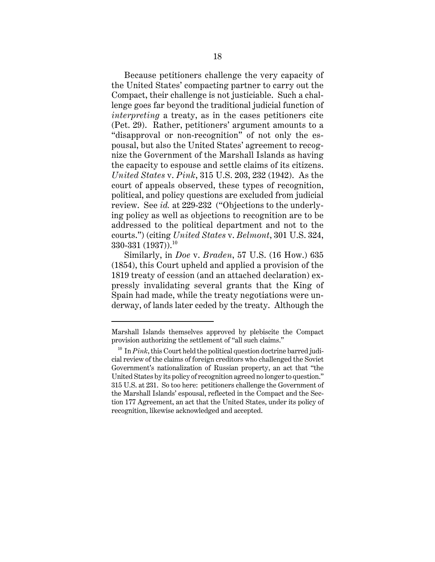Because petitioners challenge the very capacity of the United States' compacting partner to carry out the Compact, their challenge is not justiciable. Such a challenge goes far beyond the traditional judicial function of *interpreting* a treaty, as in the cases petitioners cite (Pet. 29). Rather, petitioners' argument amounts to a "disapproval or non-recognition" of not only the espousal, but also the United States' agreement to recognize the Government of the Marshall Islands as having the capacity to espouse and settle claims of its citizens. *United States* v. *Pink*, 315 U.S. 203, 232 (1942). As the court of appeals observed, these types of recognition, political, and policy questions are excluded from judicial review. See *id.* at 229-232 ("Objections to the underlying policy as well as objections to recognition are to be addressed to the political department and not to the courts.") (citing *United States* v. *Belmont*, 301 U.S. 324,  $330-331$  (1937)).<sup>10</sup>

Similarly, in *Doe* v. *Braden*, 57 U.S. (16 How.) 635 (1854), this Court upheld and applied a provision of the 1819 treaty of cession (and an attached declaration) expressly invalidating several grants that the King of Spain had made, while the treaty negotiations were underway, of lands later ceded by the treaty. Although the

Marshall Islands themselves approved by plebiscite the Compact provision authorizing the settlement of "all such claims."

 $10$  In  $Pink$ , this Court held the political question doctrine barred judicial review of the claims of foreign creditors who challenged the Soviet Government's nationalization of Russian property, an act that "the United States by its policy of recognition agreed no longer to question." 315 U.S. at 231. So too here: petitioners challenge the Government of the Marshall Islands' espousal, reflected in the Compact and the Section 177 Agreement, an act that the United States, under its policy of recognition, likewise acknowledged and accepted.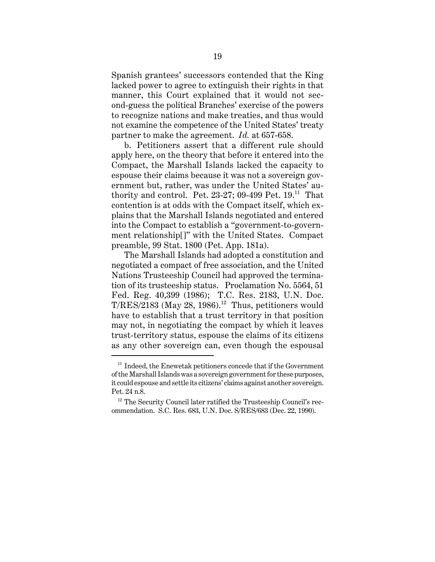Spanish grantees' successors contended that the King lacked power to agree to extinguish their rights in that manner, this Court explained that it would not second-guess the political Branches' exercise of the powers to recognize nations and make treaties, and thus would not examine the competence of the United States' treaty partner to make the agreement. *Id.* at 657-658.

b. Petitioners assert that a different rule should apply here, on the theory that before it entered into the Compact, the Marshall Islands lacked the capacity to espouse their claims because it was not a sovereign government but, rather, was under the United States' authority and control. Pet.  $23-27$ ; 09-499 Pet.  $19$ .<sup>11</sup> That contention is at odds with the Compact itself, which explains that the Marshall Islands negotiated and entered into the Compact to establish a "government-to-government relationship[]" with the United States. Compact preamble, 99 Stat. 1800 (Pet. App. 181a).

The Marshall Islands had adopted a constitution and negotiated a compact of free association, and the United Nations Trusteeship Council had approved the termination of its trusteeship status. Proclamation No. 5564, 51 Fed. Reg. 40,399 (1986); T.C. Res. 2183, U.N. Doc.  $T/RES/2183$  (May 28, 1986).<sup>12</sup> Thus, petitioners would have to establish that a trust territory in that position may not, in negotiating the compact by which it leaves trust-territory status, espouse the claims of its citizens as any other sovereign can, even though the espousal

 $11$  Indeed, the Enewetak petitioners concede that if the Government of the Marshall Islands was a sovereign government for these purposes, it could espouse and settle its citizens' claims against another sovereign. Pet. 24 n.8.

 $12$  The Security Council later ratified the Trusteeship Council's recommendation. S.C. Res. 683, U.N. Doc. S/RES/683 (Dec. 22, 1990).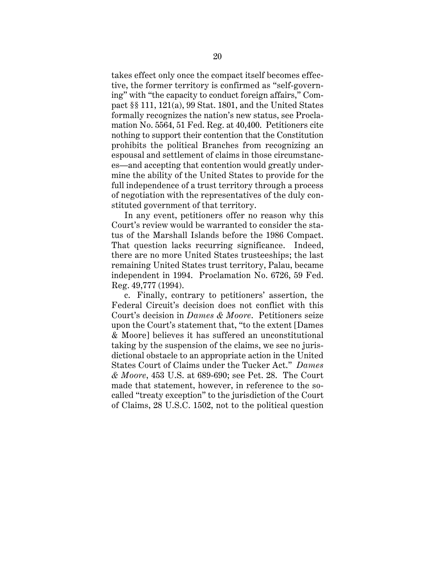takes effect only once the compact itself becomes effective, the former territory is confirmed as "self-governing" with "the capacity to conduct foreign affairs," Compact §§ 111, 121(a), 99 Stat. 1801, and the United States formally recognizes the nation's new status, see Proclamation No. 5564, 51 Fed. Reg. at 40,400. Petitioners cite nothing to support their contention that the Constitution prohibits the political Branches from recognizing an espousal and settlement of claims in those circumstances—and accepting that contention would greatly undermine the ability of the United States to provide for the full independence of a trust territory through a process of negotiation with the representatives of the duly constituted government of that territory.

In any event, petitioners offer no reason why this Court's review would be warranted to consider the status of the Marshall Islands before the 1986 Compact. That question lacks recurring significance. Indeed, there are no more United States trusteeships; the last remaining United States trust territory, Palau, became independent in 1994. Proclamation No. 6726, 59 Fed. Reg. 49,777 (1994).

c. Finally, contrary to petitioners' assertion, the Federal Circuit's decision does not conflict with this Court's decision in *Dames & Moore*. Petitioners seize upon the Court's statement that, "to the extent [Dames & Moore] believes it has suffered an unconstitutional taking by the suspension of the claims, we see no jurisdictional obstacle to an appropriate action in the United States Court of Claims under the Tucker Act." *Dames & Moore*, 453 U.S. at 689-690; see Pet. 28. The Court made that statement, however, in reference to the socalled "treaty exception" to the jurisdiction of the Court of Claims, 28 U.S.C. 1502, not to the political question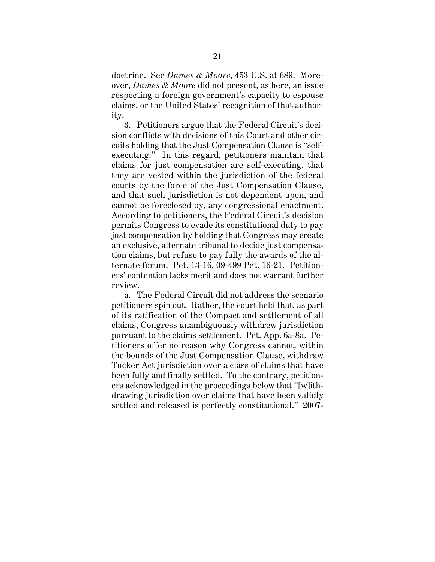doctrine. See *Dames & Moore*, 453 U.S. at 689. Moreover, *Dames & Moore* did not present, as here, an issue respecting a foreign government's capacity to espouse claims, or the United States' recognition of that authority.

3. Petitioners argue that the Federal Circuit's decision conflicts with decisions of this Court and other circuits holding that the Just Compensation Clause is "selfexecuting." In this regard, petitioners maintain that claims for just compensation are self-executing, that they are vested within the jurisdiction of the federal courts by the force of the Just Compensation Clause, and that such jurisdiction is not dependent upon, and cannot be foreclosed by, any congressional enactment. According to petitioners, the Federal Circuit's decision permits Congress to evade its constitutional duty to pay just compensation by holding that Congress may create an exclusive, alternate tribunal to decide just compensation claims, but refuse to pay fully the awards of the alternate forum. Pet. 13-16, 09-499 Pet. 16-21. Petitioners' contention lacks merit and does not warrant further review.

a. The Federal Circuit did not address the scenario petitioners spin out. Rather, the court held that, as part of its ratification of the Compact and settlement of all claims, Congress unambiguously withdrew jurisdiction pursuant to the claims settlement. Pet. App. 6a-8a. Petitioners offer no reason why Congress cannot, within the bounds of the Just Compensation Clause, withdraw Tucker Act jurisdiction over a class of claims that have been fully and finally settled. To the contrary, petitioners acknowledged in the proceedings below that "[w]ithdrawing jurisdiction over claims that have been validly settled and released is perfectly constitutional." 2007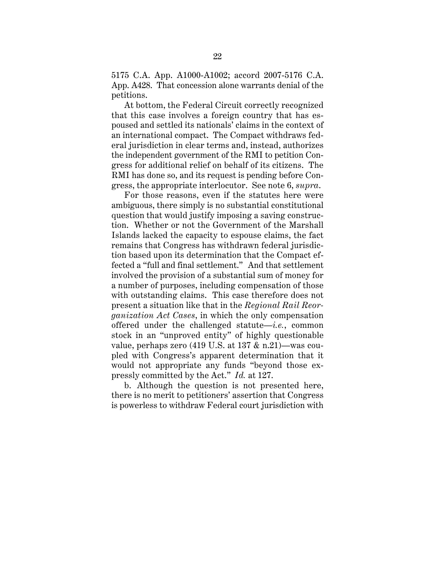5175 C.A. App. A1000-A1002; accord 2007-5176 C.A. App. A428. That concession alone warrants denial of the petitions.

At bottom, the Federal Circuit correctly recognized that this case involves a foreign country that has espoused and settled its nationals' claims in the context of an international compact. The Compact withdraws federal jurisdiction in clear terms and, instead, authorizes the independent government of the RMI to petition Congress for additional relief on behalf of its citizens. The RMI has done so, and its request is pending before Congress, the appropriate interlocutor. See note 6, *supra*.

For those reasons, even if the statutes here were ambiguous, there simply is no substantial constitutional question that would justify imposing a saving construction. Whether or not the Government of the Marshall Islands lacked the capacity to espouse claims, the fact remains that Congress has withdrawn federal jurisdiction based upon its determination that the Compact effected a "full and final settlement." And that settlement involved the provision of a substantial sum of money for a number of purposes, including compensation of those with outstanding claims. This case therefore does not present a situation like that in the *Regional Rail Reorganization Act Cases*, in which the only compensation offered under the challenged statute—*i.e.*, common stock in an "unproved entity" of highly questionable value, perhaps zero (419 U.S. at 137 & n.21)—was coupled with Congress's apparent determination that it would not appropriate any funds "beyond those expressly committed by the Act." *Id.* at 127.

b. Although the question is not presented here, there is no merit to petitioners' assertion that Congress is powerless to withdraw Federal court jurisdiction with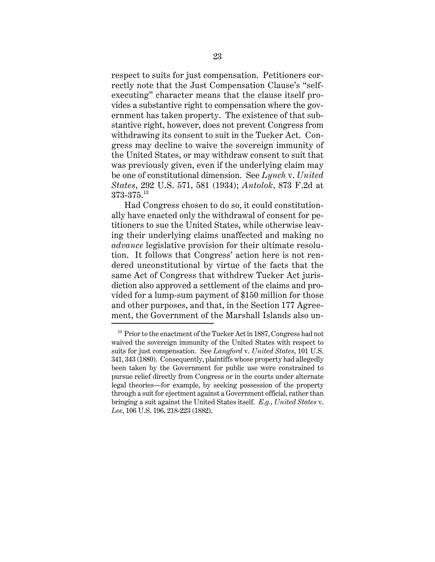respect to suits for just compensation. Petitioners correctly note that the Just Compensation Clause's "selfexecuting" character means that the clause itself provides a substantive right to compensation where the government has taken property. The existence of that substantive right, however, does not prevent Congress from withdrawing its consent to suit in the Tucker Act. Congress may decline to waive the sovereign immunity of the United States, or may withdraw consent to suit that was previously given, even if the underlying claim may be one of constitutional dimension. See *Lynch* v. *United States*, 292 U.S. 571, 581 (1934); *Antolok*, 873 F.2d at  $373\text{-}375.^\text{13}$ 

Had Congress chosen to do so, it could constitutionally have enacted only the withdrawal of consent for petitioners to sue the United States, while otherwise leaving their underlying claims unaffected and making no *advance* legislative provision for their ultimate resolution. It follows that Congress' action here is not rendered unconstitutional by virtue of the facts that the same Act of Congress that withdrew Tucker Act jurisdiction also approved a settlement of the claims and provided for a lump-sum payment of \$150 million for those and other purposes, and that, in the Section 177 Agreement, the Government of the Marshall Islands also un-

 $13$  Prior to the enactment of the Tucker Act in 1887, Congress had not waived the sovereign immunity of the United States with respect to suits for just compensation. See *Langford* v. *United States*, 101 U.S. 341, 343 (1880). Consequently, plaintiffs whose property had allegedly been taken by the Government for public use were constrained to pursue relief directly from Congress or in the courts under alternate legal theories—for example, by seeking possession of the property through a suit for ejectment against a Government official, rather than bringing a suit against the United States itself. *E.g.*, *United States* v. *Lee*, 106 U.S. 196, 218-223 (1882).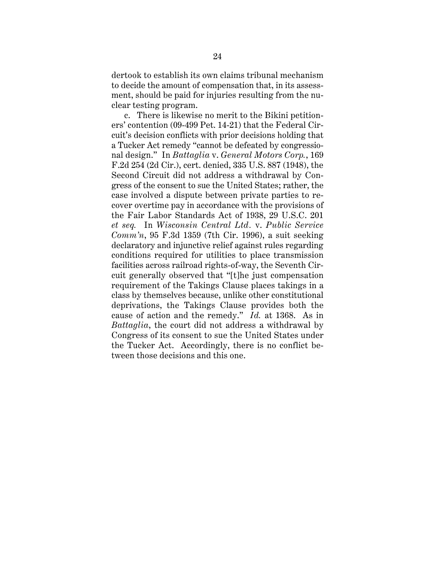dertook to establish its own claims tribunal mechanism to decide the amount of compensation that, in its assessment, should be paid for injuries resulting from the nuclear testing program.

c. There is likewise no merit to the Bikini petitioners' contention (09-499 Pet. 14-21) that the Federal Circuit's decision conflicts with prior decisions holding that a Tucker Act remedy "cannot be defeated by congressional design." In *Battaglia* v. *General Motors Corp.*, 169 F.2d 254 (2d Cir.), cert. denied, 335 U.S. 887 (1948), the Second Circuit did not address a withdrawal by Congress of the consent to sue the United States; rather, the case involved a dispute between private parties to recover overtime pay in accordance with the provisions of the Fair Labor Standards Act of 1938, 29 U.S.C. 201 *et seq.* In *Wisconsin Central Ltd.* v. *Public Service Comm'n*, 95 F.3d 1359 (7th Cir. 1996), a suit seeking declaratory and injunctive relief against rules regarding conditions required for utilities to place transmission facilities across railroad rights-of-way, the Seventh Circuit generally observed that "[t]he just compensation requirement of the Takings Clause places takings in a class by themselves because, unlike other constitutional deprivations, the Takings Clause provides both the cause of action and the remedy." *Id.* at 1368. As in *Battaglia*, the court did not address a withdrawal by Congress of its consent to sue the United States under the Tucker Act. Accordingly, there is no conflict between those decisions and this one.